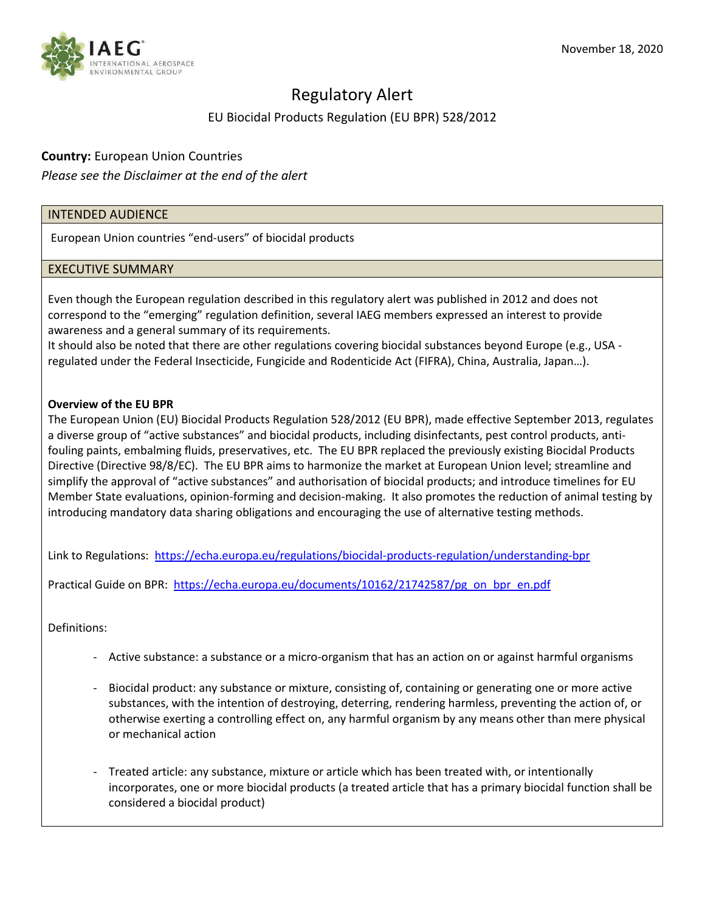

# Regulatory Alert

## EU Biocidal Products Regulation (EU BPR) 528/2012

### **Country:** European Union Countries

*Please see the Disclaimer at the end of the alert*

### INTENDED AUDIENCE

European Union countries "end-users" of biocidal products

### EXECUTIVE SUMMARY

Even though the European regulation described in this regulatory alert was published in 2012 and does not correspond to the "emerging" regulation definition, several IAEG members expressed an interest to provide awareness and a general summary of its requirements.

It should also be noted that there are other regulations covering biocidal substances beyond Europe (e.g., USA regulated under the Federal Insecticide, Fungicide and Rodenticide Act (FIFRA), China, Australia, Japan…).

### **Overview of the EU BPR**

The European Union (EU) Biocidal Products Regulation 528/2012 (EU BPR), made effective September 2013, regulates a diverse group of "active substances" and biocidal products, including disinfectants, pest control products, antifouling paints, embalming fluids, preservatives, etc. The EU BPR replaced the previously existing Biocidal Products Directive (Directive 98/8/EC). The EU BPR aims to harmonize the market at European Union level; streamline and simplify the approval of "active substances" and authorisation of biocidal products; and introduce timelines for EU Member State evaluations, opinion-forming and decision-making. It also promotes the reduction of animal testing by introducing mandatory data sharing obligations and encouraging the use of alternative testing methods.

Link to Regulations: <https://echa.europa.eu/regulations/biocidal-products-regulation/understanding-bpr>

Practical Guide on BPR: [https://echa.europa.eu/documents/10162/21742587/pg\\_on\\_bpr\\_en.pdf](https://echa.europa.eu/documents/10162/21742587/pg_on_bpr_en.pdf)

Definitions:

- Active substance: a substance or a micro-organism that has an action on or against harmful organisms
- Biocidal product: any substance or mixture, consisting of, containing or generating one or more active substances, with the intention of destroying, deterring, rendering harmless, preventing the action of, or otherwise exerting a controlling effect on, any harmful organism by any means other than mere physical or mechanical action
- Treated article: any substance, mixture or article which has been treated with, or intentionally incorporates, one or more biocidal products (a treated article that has a primary biocidal function shall be considered a biocidal product)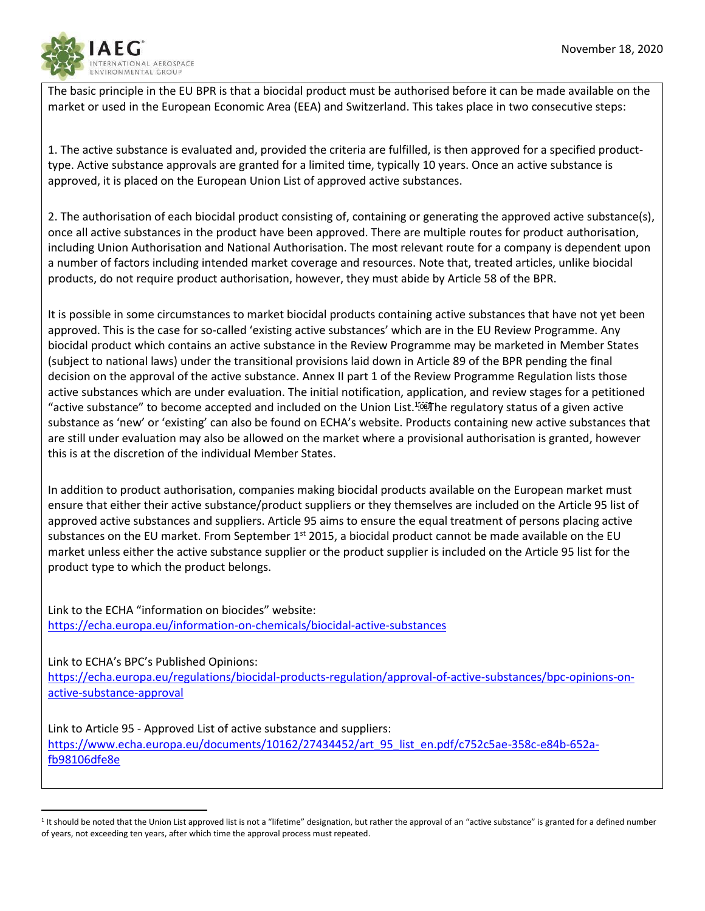

 $\overline{\phantom{a}}$ 

The basic principle in the EU BPR is that a biocidal product must be authorised before it can be made available on the market or used in the European Economic Area (EEA) and Switzerland. This takes place in two consecutive steps:

1. The active substance is evaluated and, provided the criteria are fulfilled, is then approved for a specified producttype. Active substance approvals are granted for a limited time, typically 10 years. Once an active substance is approved, it is placed on the European Union List of approved active substances.

2. The authorisation of each biocidal product consisting of, containing or generating the approved active substance(s), once all active substances in the product have been approved. There are multiple routes for product authorisation, including Union Authorisation and National Authorisation. The most relevant route for a company is dependent upon a number of factors including intended market coverage and resources. Note that, treated articles, unlike biocidal products, do not require product authorisation, however, they must abide by Article 58 of the BPR.

It is possible in some circumstances to market biocidal products containing active substances that have not yet been approved. This is the case for so-called 'existing active substances' which are in the EU Review Programme. Any biocidal product which contains an active substance in the Review Programme may be marketed in Member States (subject to national laws) under the transitional provisions laid down in Article 89 of the BPR pending the final decision on the approval of the active substance. Annex II part 1 of the Review Programme Regulation lists those active substances which are under evaluation. The initial notification, application, and review stages for a petitioned "active substance" to become accepted and included on the Union List.<sup>1</sup><sup>669</sup>The regulatory status of a given active substance as 'new' or 'existing' can also be found on ECHA's website. Products containing new active substances that are still under evaluation may also be allowed on the market where a provisional authorisation is granted, however this is at the discretion of the individual Member States.

In addition to product authorisation, companies making biocidal products available on the European market must ensure that either their active substance/product suppliers or they themselves are included on the Article 95 list of approved active substances and suppliers. Article 95 aims to ensure the equal treatment of persons placing active substances on the EU market. From September 1<sup>st</sup> 2015, a biocidal product cannot be made available on the EU market unless either the active substance supplier or the product supplier is included on the Article 95 list for the product type to which the product belongs.

Link to the ECHA "information on biocides" website: [https://echa.europa.eu/information-on-chemicals/biocidal-active-substances](https://echa.europa.eu/information-on-chemicals/biocidal-active-substances?p_auth=F5Y44rZL&p_p_id=echarevbiocides_WAR_echarevbiocidesportlet&p_p_lifecycle=1&p_p_state=normal&p_p_mode=view&p_p_col_id=column1&p_p_col_pos=1&p_p_col_count=2&_echarevbiocides_WAR_echarevbiocidesportlet_viewTab=Search&_echarevbiocides_WAR_echarevbiocidesportlet_javax.portlet.action=tabsAction&_echarevbiocides_WAR_echarevbiocidesportlet_tabs1=Summary)

Link to ECHA's BPC's Published Opinions: [https://echa.europa.eu/regulations/biocidal-products-regulation/approval-of-active-substances/bpc-opinions-on](https://echa.europa.eu/regulations/biocidal-products-regulation/approval-of-active-substances/bpc-opinions-on-active-substance-approval)[active-substance-approval](https://echa.europa.eu/regulations/biocidal-products-regulation/approval-of-active-substances/bpc-opinions-on-active-substance-approval)

Link to Article 95 - Approved List of active substance and suppliers: [https://www.echa.europa.eu/documents/10162/27434452/art\\_95\\_list\\_en.pdf/c752c5ae-358c-e84b-652a](https://www.echa.europa.eu/documents/10162/27434452/art_95_list_en.pdf/c752c5ae-358c-e84b-652a-fb98106dfe8e)[fb98106dfe8e](https://www.echa.europa.eu/documents/10162/27434452/art_95_list_en.pdf/c752c5ae-358c-e84b-652a-fb98106dfe8e)

<sup>&</sup>lt;sup>1</sup> It should be noted that the Union List approved list is not a "lifetime" designation, but rather the approval of an "active substance" is granted for a defined number of years, not exceeding ten years, after which time the approval process must repeated.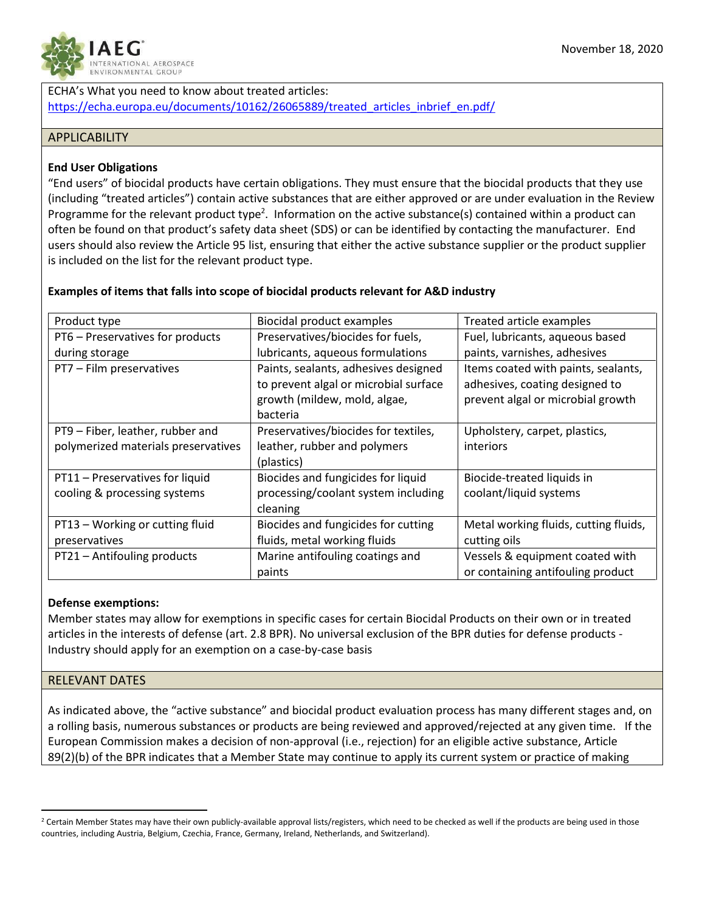

ECHA's What you need to know about treated articles: [https://echa.europa.eu/documents/10162/26065889/treated\\_articles\\_inbrief\\_en.pdf/](https://echa.europa.eu/documents/10162/26065889/treated_articles_inbrief_en.pdf/)

### **APPLICABILITY**

### **End User Obligations**

"End users" of biocidal products have certain obligations. They must ensure that the biocidal products that they use (including "treated articles") contain active substances that are either approved or are under evaluation in the Review Programme for the relevant product type<sup>2</sup>. Information on the active substance(s) contained within a product can often be found on that product's safety data sheet (SDS) or can be identified by contacting the manufacturer. End users should also review the Article 95 list, ensuring that either the active substance supplier or the product supplier is included on the list for the relevant product type.

#### Product type **Biocidal product examples** Treated article examples PT6 – Preservatives for products during storage Preservatives/biocides for fuels, lubricants, aqueous formulations Fuel, lubricants, aqueous based paints, varnishes, adhesives  $PT7$  – Film preservatives  $|$  Paints, sealants, adhesives designed to prevent algal or microbial surface growth (mildew, mold, algae, bacteria Items coated with paints, sealants, adhesives, coating designed to prevent algal or microbial growth PT9 – Fiber, leather, rubber and polymerized materials preservatives Preservatives/biocides for textiles, leather, rubber and polymers (plastics) Upholstery, carpet, plastics, interiors PT11 – Preservatives for liquid cooling & processing systems Biocides and fungicides for liquid processing/coolant system including cleaning Biocide-treated liquids in coolant/liquid systems PT13 – Working or cutting fluid Biocides and fungicides for cutting Metal working fluids, cutting fluids,

fluids, metal working fluids

cutting oils

Vessels & equipment coated with or containing antifouling product

### **Examples of items that falls into scope of biocidal products relevant for A&D industry**

 $PT21 -$  Antifouling products  $\vert$  Marine antifouling coatings and

paints

### **Defense exemptions:**

preservatives

Member states may allow for exemptions in specific cases for certain Biocidal Products on their own or in treated articles in the interests of defense (art. 2.8 BPR). No universal exclusion of the BPR duties for defense products - Industry should apply for an exemption on a case-by-case basis

### RELEVANT DATES

 $\overline{\phantom{a}}$ 

As indicated above, the "active substance" and biocidal product evaluation process has many different stages and, on a rolling basis, numerous substances or products are being reviewed and approved/rejected at any given time. If the European Commission makes a decision of non-approval (i.e., rejection) for an eligible active substance, Article 89(2)(b) of the BPR indicates that a Member State may continue to apply its current system or practice of making

<sup>&</sup>lt;sup>2</sup> Certain Member States may have their own publicly-available approval lists/registers, which need to be checked as well if the products are being used in those countries, including Austria, Belgium, Czechia, France, Germany, Ireland, Netherlands, and Switzerland).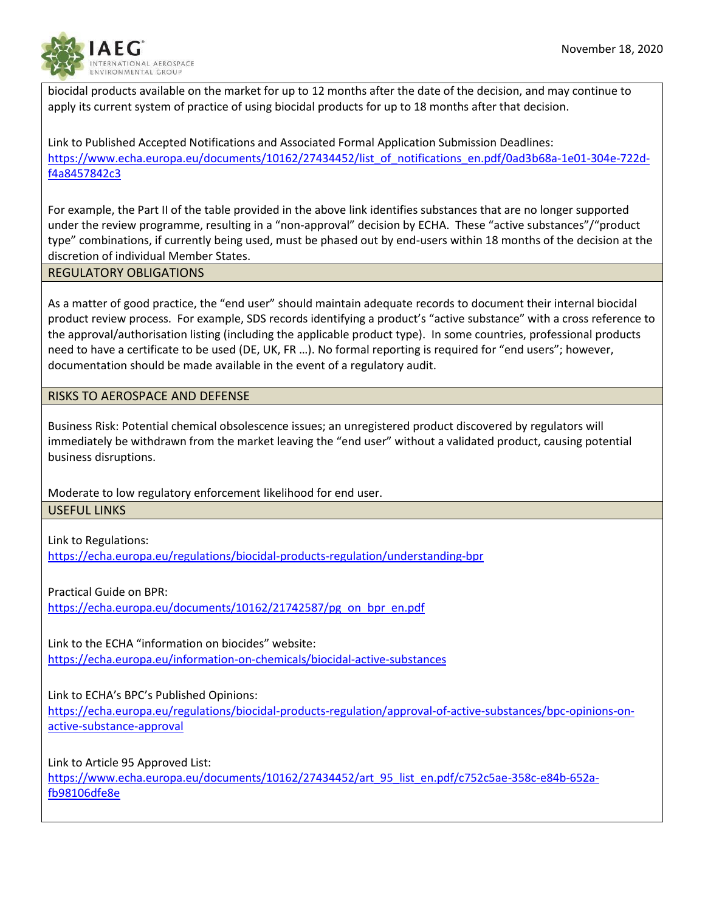

biocidal products available on the market for up to 12 months after the date of the decision, and may continue to apply its current system of practice of using biocidal products for up to 18 months after that decision.

Link to Published Accepted Notifications and Associated Formal Application Submission Deadlines: [https://www.echa.europa.eu/documents/10162/27434452/list\\_of\\_notifications\\_en.pdf/0ad3b68a-1e01-304e-722d](https://www.echa.europa.eu/documents/10162/27434452/list_of_notifications_en.pdf/0ad3b68a-1e01-304e-722d-f4a8457842c3)[f4a8457842c3](https://www.echa.europa.eu/documents/10162/27434452/list_of_notifications_en.pdf/0ad3b68a-1e01-304e-722d-f4a8457842c3)

For example, the Part II of the table provided in the above link identifies substances that are no longer supported under the review programme, resulting in a "non-approval" decision by ECHA. These "active substances"/"product type" combinations, if currently being used, must be phased out by end-users within 18 months of the decision at the discretion of individual Member States.

### REGULATORY OBLIGATIONS

As a matter of good practice, the "end user" should maintain adequate records to document their internal biocidal product review process. For example, SDS records identifying a product's "active substance" with a cross reference to the approval/authorisation listing (including the applicable product type). In some countries, professional products need to have a certificate to be used (DE, UK, FR …). No formal reporting is required for "end users"; however, documentation should be made available in the event of a regulatory audit.

### RISKS TO AEROSPACE AND DEFENSE

Business Risk: Potential chemical obsolescence issues; an unregistered product discovered by regulators will immediately be withdrawn from the market leaving the "end user" without a validated product, causing potential business disruptions.

Moderate to low regulatory enforcement likelihood for end user. USEFUL LINKS

Link to Regulations: <https://echa.europa.eu/regulations/biocidal-products-regulation/understanding-bpr>

Practical Guide on BPR:

[https://echa.europa.eu/documents/10162/21742587/pg\\_on\\_bpr\\_en.pdf](https://echa.europa.eu/documents/10162/21742587/pg_on_bpr_en.pdf)

Link to the ECHA "information on biocides" website: [https://echa.europa.eu/information-on-chemicals/biocidal-active-substances](https://echa.europa.eu/information-on-chemicals/biocidal-active-substances?p_auth=F5Y44rZL&p_p_id=echarevbiocides_WAR_echarevbiocidesportlet&p_p_lifecycle=1&p_p_state=normal&p_p_mode=view&p_p_col_id=column%20HYPERLINK)

Link to ECHA's BPC's Published Opinions:

[https://echa.europa.eu/regulations/biocidal-products-regulation/approval-of-active-substances/bpc-opinions-on](https://echa.europa.eu/regulations/biocidal-products-regulation/approval-of-active-substances/bpc-opinions-on-active-substance-approval)[active-substance-approval](https://echa.europa.eu/regulations/biocidal-products-regulation/approval-of-active-substances/bpc-opinions-on-active-substance-approval)

Link to Article 95 Approved List:

[https://www.echa.europa.eu/documents/10162/27434452/art\\_95\\_list\\_en.pdf/c752c5ae-358c-e84b-652a](https://www.echa.europa.eu/documents/10162/27434452/art_95_list_en.pdf/c752c5ae-358c-e84b-652a-fb98106dfe8e)[fb98106dfe8e](https://www.echa.europa.eu/documents/10162/27434452/art_95_list_en.pdf/c752c5ae-358c-e84b-652a-fb98106dfe8e)